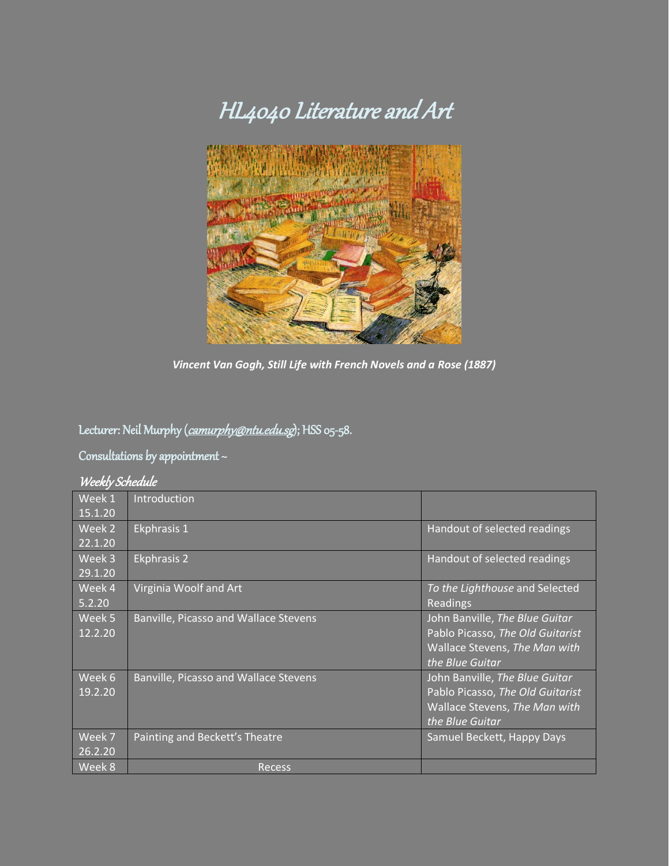# HL4040 Literature and Art



*Vincent Van Gogh, Still Life with French Novels and a Rose (1887)*

## Lecturer: Neil Murphy ([camurphy@ntu.edu.sg](mailto:camurphy@ntu.edu.sg)); HSS 05-58.

## Consultations by appointment ~

#### Weekly Schedule

| Week 1  | Introduction                                 |                                  |
|---------|----------------------------------------------|----------------------------------|
| 15.1.20 |                                              |                                  |
| Week 2  | Ekphrasis 1                                  | Handout of selected readings     |
| 22.1.20 |                                              |                                  |
| Week 3  | <b>Ekphrasis 2</b>                           | Handout of selected readings     |
| 29.1.20 |                                              |                                  |
| Week 4  | Virginia Woolf and Art                       | To the Lighthouse and Selected   |
| 5.2.20  |                                              | Readings                         |
| Week 5  | <b>Banville, Picasso and Wallace Stevens</b> | John Banville, The Blue Guitar   |
| 12.2.20 |                                              | Pablo Picasso, The Old Guitarist |
|         |                                              | Wallace Stevens, The Man with    |
|         |                                              | the Blue Guitar                  |
| Week 6  | Banville, Picasso and Wallace Stevens        | John Banville, The Blue Guitar   |
| 19.2.20 |                                              | Pablo Picasso, The Old Guitarist |
|         |                                              | Wallace Stevens, The Man with    |
|         |                                              | the Blue Guitar                  |
| Week 7  | Painting and Beckett's Theatre               | Samuel Beckett, Happy Days       |
| 26.2.20 |                                              |                                  |
| Week 8  | <b>Recess</b>                                |                                  |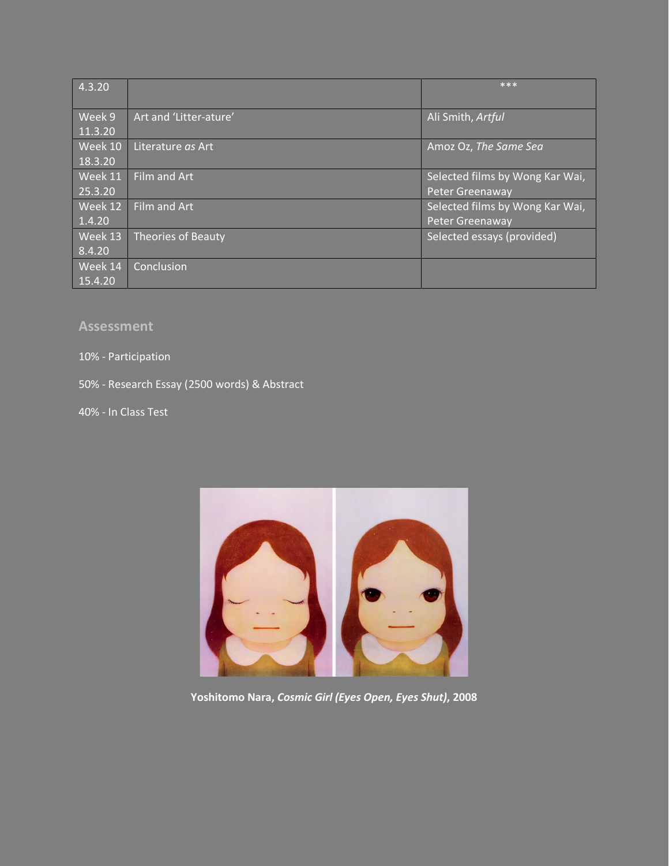| 4.3.20  |                           | ***                             |
|---------|---------------------------|---------------------------------|
|         |                           |                                 |
| Week 9  | Art and 'Litter-ature'    | Ali Smith, Artful               |
| 11.3.20 |                           |                                 |
| Week 10 | Literature as Art         | Amoz Oz, The Same Sea           |
| 18.3.20 |                           |                                 |
| Week 11 | Film and Art              | Selected films by Wong Kar Wai, |
| 25.3.20 |                           | Peter Greenaway                 |
| Week 12 | Film and Art              | Selected films by Wong Kar Wai, |
| 1.4.20  |                           | Peter Greenaway                 |
| Week 13 | <b>Theories of Beauty</b> | Selected essays (provided)      |
| 8.4.20  |                           |                                 |
| Week 14 | Conclusion                |                                 |
| 15.4.20 |                           |                                 |

#### **Assessment**

#### 10% - Participation

50% - Research Essay (2500 words) & Abstract

40% - In Class Test



**Yoshitomo Nara,** *Cosmic Girl (Eyes Open, Eyes Shut)***, 2008**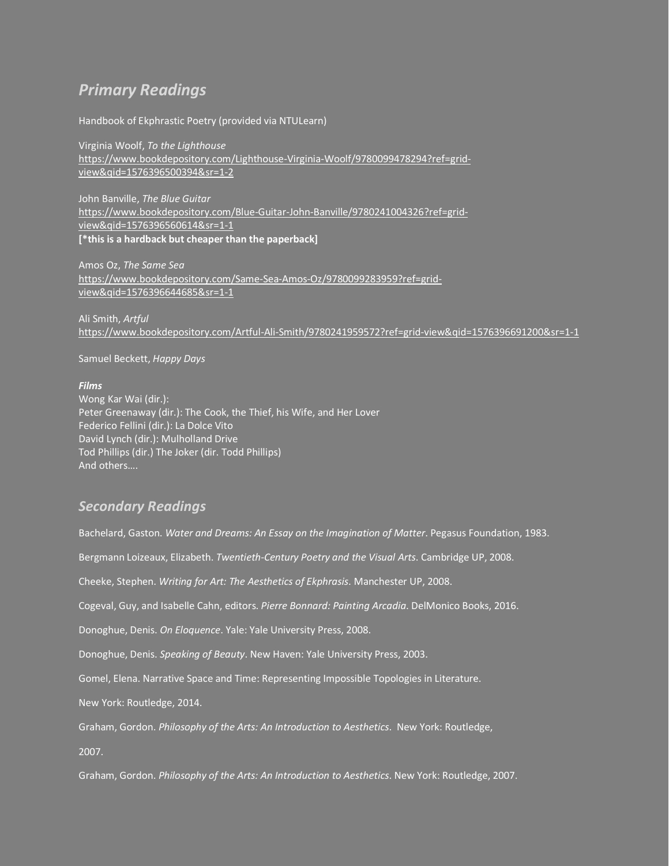### *Primary Readings*

Handbook of Ekphrastic Poetry (provided via NTULearn)

Virginia Woolf, *To the Lighthouse* [https://www.bookdepository.com/Lighthouse-Virginia-Woolf/9780099478294?ref=grid](https://www.bookdepository.com/Lighthouse-Virginia-Woolf/9780099478294?ref=grid-view&qid=1576396500394&sr=1-2)[view&qid=1576396500394&sr=1-2](https://www.bookdepository.com/Lighthouse-Virginia-Woolf/9780099478294?ref=grid-view&qid=1576396500394&sr=1-2)

John Banville, *The Blue Guitar* [https://www.bookdepository.com/Blue-Guitar-John-Banville/9780241004326?ref=grid](https://www.bookdepository.com/Blue-Guitar-John-Banville/9780241004326?ref=grid-view&qid=1576396560614&sr=1-1)[view&qid=1576396560614&sr=1-1](https://www.bookdepository.com/Blue-Guitar-John-Banville/9780241004326?ref=grid-view&qid=1576396560614&sr=1-1) **[\*this is a hardback but cheaper than the paperback]**

Amos Oz, *The Same Sea* [https://www.bookdepository.com/Same-Sea-Amos-Oz/9780099283959?ref=grid](https://www.bookdepository.com/Same-Sea-Amos-Oz/9780099283959?ref=grid-view&qid=1576396644685&sr=1-1)[view&qid=1576396644685&sr=1-1](https://www.bookdepository.com/Same-Sea-Amos-Oz/9780099283959?ref=grid-view&qid=1576396644685&sr=1-1)

Ali Smith, *Artful* <https://www.bookdepository.com/Artful-Ali-Smith/9780241959572?ref=grid-view&qid=1576396691200&sr=1-1>

Samuel Beckett, *Happy Days*

#### *Films*

Wong Kar Wai (dir.): Peter Greenaway (dir.): The Cook, the Thief, his Wife, and Her Lover Federico Fellini (dir.): La Dolce Vito David Lynch (dir.): Mulholland Drive Tod Phillips (dir.) The Joker (dir. Todd Phillips) And others….

#### *Secondary Readings*

Bachelard, Gaston. *Water and Dreams: An Essay on the Imagination of Matter*. Pegasus Foundation, 1983. Bergmann Loizeaux, Elizabeth. *Twentieth-Century Poetry and the Visual Arts*. Cambridge UP, 2008. Cheeke, Stephen. *Writing for Art: The Aesthetics of Ekphrasis*. Manchester UP, 2008. Cogeval, Guy, and Isabelle Cahn, editors. *Pierre Bonnard: Painting Arcadia*. DelMonico Books, 2016. Donoghue, Denis. *On Eloquence*. Yale: Yale University Press, 2008. Donoghue, Denis. *Speaking of Beauty*. New Haven: Yale University Press, 2003. Gomel, Elena. Narrative Space and Time: Representing Impossible Topologies in Literature. New York: Routledge, 2014. Graham, Gordon. *Philosophy of the Arts: An Introduction to Aesthetics*. New York: Routledge, 2007. Graham, Gordon. *Philosophy of the Arts: An Introduction to Aesthetics*. New York: Routledge, 2007.